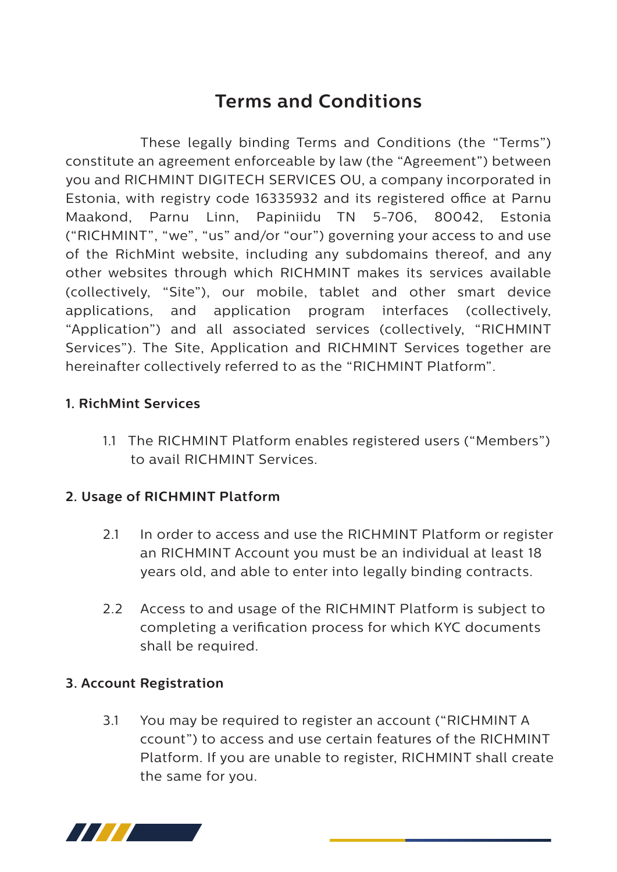# **Terms and Conditions**

 These legally binding Terms and Conditions (the "Terms") constitute an agreement enforceable by law (the "Agreement") between you and RICHMINT DIGITECH SERVICES OU, a company incorporated in Estonia, with registry code 16335932 and its registered office at Parnu Maakond, Parnu Linn, Papiniidu TN 5-706, 80042, Estonia ("RICHMINT", "we", "us" and/or "our") governing your access to and use of the RichMint website, including any subdomains thereof, and any other websites through which RICHMINT makes its services available (collectively, "Site"), our mobile, tablet and other smart device applications, and application program interfaces (collectively, "Application") and all associated services (collectively, "RICHMINT Services"). The Site, Application and RICHMINT Services together are hereinafter collectively referred to as the "RICHMINT Platform".

## **1. RichMint Services**

 1.1 The RICHMINT Platform enables registered users ("Members") to avail RICHMINT Services.

### **2. Usage of RICHMINT Platform**

- 2.1 In order to access and use the RICHMINT Platform or register an RICHMINT Account you must be an individual at least 18 years old, and able to enter into legally binding contracts.
- 2.2 Access to and usage of the RICHMINT Platform is subject to completing a verification process for which KYC documents shall be required.

### **3. Account Registration**

 3.1 You may be required to register an account ("RICHMINT A ccount") to access and use certain features of the RICHMINT Platform. If you are unable to register, RICHMINT shall create the same for you.

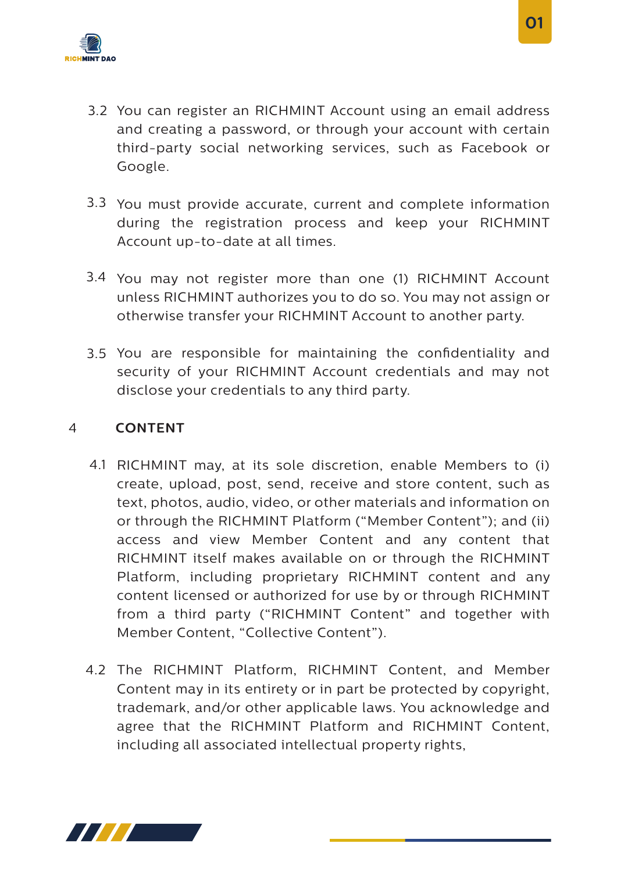

- 3.2 You can register an RICHMINT Account using an email address and creating a password, or through your account with certain third-party social networking services, such as Facebook or Google.
- 3.3 You must provide accurate, current and complete information during the registration process and keep your RICHMINT Account up-to-date at all times.
- 3.4 You may not register more than one (1) RICHMINT Account unless RICHMINT authorizes you to do so. You may not assign or otherwise transfer your RICHMINT Account to another party.
- 3.5 You are responsible for maintaining the confidentiality and security of your RICHMINT Account credentials and may not disclose your credentials to any third party.

### 4 **CONTENT**

- 4.1 RICHMINT may, at its sole discretion, enable Members to (i) create, upload, post, send, receive and store content, such as text, photos, audio, video, or other materials and information on or through the RICHMINT Platform ("Member Content"); and (ii) access and view Member Content and any content that RICHMINT itself makes available on or through the RICHMINT Platform, including proprietary RICHMINT content and any content licensed or authorized for use by or through RICHMINT from a third party ("RICHMINT Content" and together with Member Content, "Collective Content").
- 4.2 The RICHMINT Platform, RICHMINT Content, and Member Content may in its entirety or in part be protected by copyright, trademark, and/or other applicable laws. You acknowledge and agree that the RICHMINT Platform and RICHMINT Content, including all associated intellectual property rights,



 **01**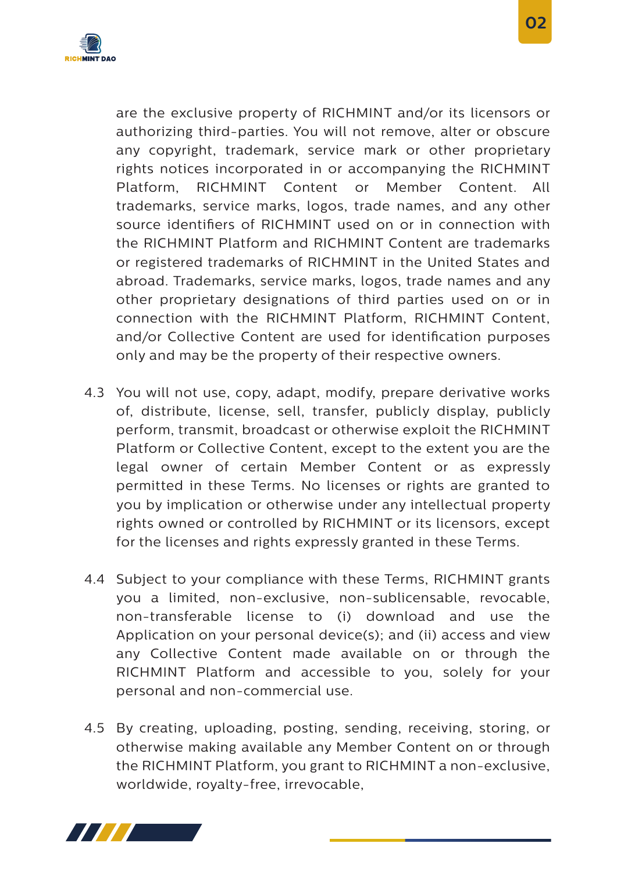

are the exclusive property of RICHMINT and/or its licensors or authorizing third-parties. You will not remove, alter or obscure any copyright, trademark, service mark or other proprietary rights notices incorporated in or accompanying the RICHMINT Platform, RICHMINT Content or Member Content. All trademarks, service marks, logos, trade names, and any other source identifiers of RICHMINT used on or in connection with the RICHMINT Platform and RICHMINT Content are trademarks or registered trademarks of RICHMINT in the United States and abroad. Trademarks, service marks, logos, trade names and any other proprietary designations of third parties used on or in connection with the RICHMINT Platform, RICHMINT Content, and/or Collective Content are used for identification purposes only and may be the property of their respective owners.

- 4.3 You will not use, copy, adapt, modify, prepare derivative works of, distribute, license, sell, transfer, publicly display, publicly perform, transmit, broadcast or otherwise exploit the RICHMINT Platform or Collective Content, except to the extent you are the legal owner of certain Member Content or as expressly permitted in these Terms. No licenses or rights are granted to you by implication or otherwise under any intellectual property rights owned or controlled by RICHMINT or its licensors, except for the licenses and rights expressly granted in these Terms.
- 4.4 Subject to your compliance with these Terms, RICHMINT grants you a limited, non-exclusive, non-sublicensable, revocable, non-transferable license to (i) download and use the Application on your personal device(s); and (ii) access and view any Collective Content made available on or through the RICHMINT Platform and accessible to you, solely for your personal and non-commercial use.
- 4.5 By creating, uploading, posting, sending, receiving, storing, or otherwise making available any Member Content on or through the RICHMINT Platform, you grant to RICHMINT a non-exclusive, worldwide, royalty-free, irrevocable,

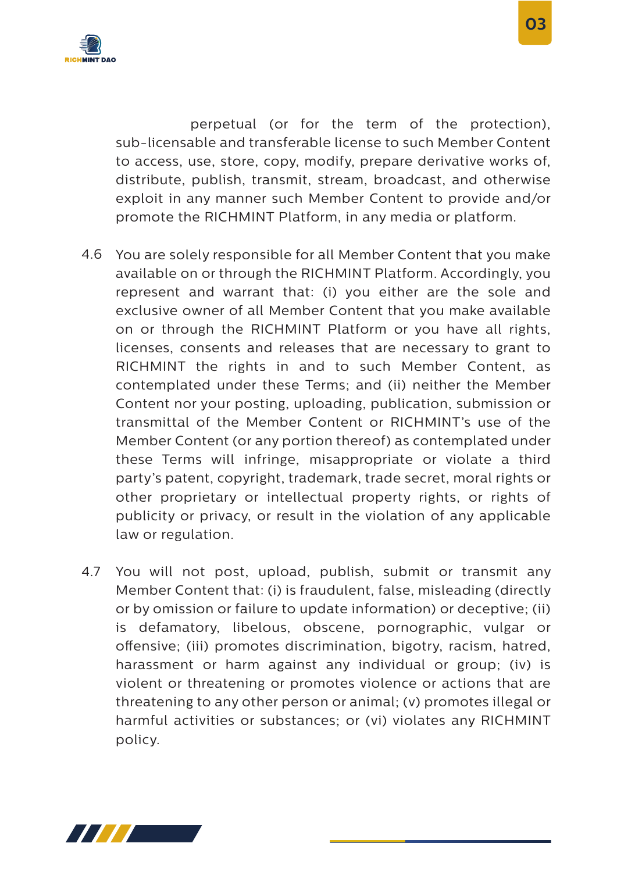

 perpetual (or for the term of the protection), sub-licensable and transferable license to such Member Content to access, use, store, copy, modify, prepare derivative works of, distribute, publish, transmit, stream, broadcast, and otherwise exploit in any manner such Member Content to provide and/or promote the RICHMINT Platform, in any media or platform.

- 4.6 You are solely responsible for all Member Content that you make available on or through the RICHMINT Platform. Accordingly, you represent and warrant that: (i) you either are the sole and exclusive owner of all Member Content that you make available on or through the RICHMINT Platform or you have all rights, licenses, consents and releases that are necessary to grant to RICHMINT the rights in and to such Member Content, as contemplated under these Terms; and (ii) neither the Member Content nor your posting, uploading, publication, submission or transmittal of the Member Content or RICHMINT's use of the Member Content (or any portion thereof) as contemplated under these Terms will infringe, misappropriate or violate a third party's patent, copyright, trademark, trade secret, moral rights or other proprietary or intellectual property rights, or rights of publicity or privacy, or result in the violation of any applicable law or regulation.
- You will not post, upload, publish, submit or transmit any Member Content that: (i) is fraudulent, false, misleading (directly or by omission or failure to update information) or deceptive; (ii) is defamatory, libelous, obscene, pornographic, vulgar or offensive; (iii) promotes discrimination, bigotry, racism, hatred, harassment or harm against any individual or group; (iv) is violent or threatening or promotes violence or actions that are threatening to any other person or animal; (v) promotes illegal or harmful activities or substances; or (vi) violates any RICHMINT policy. 4.7

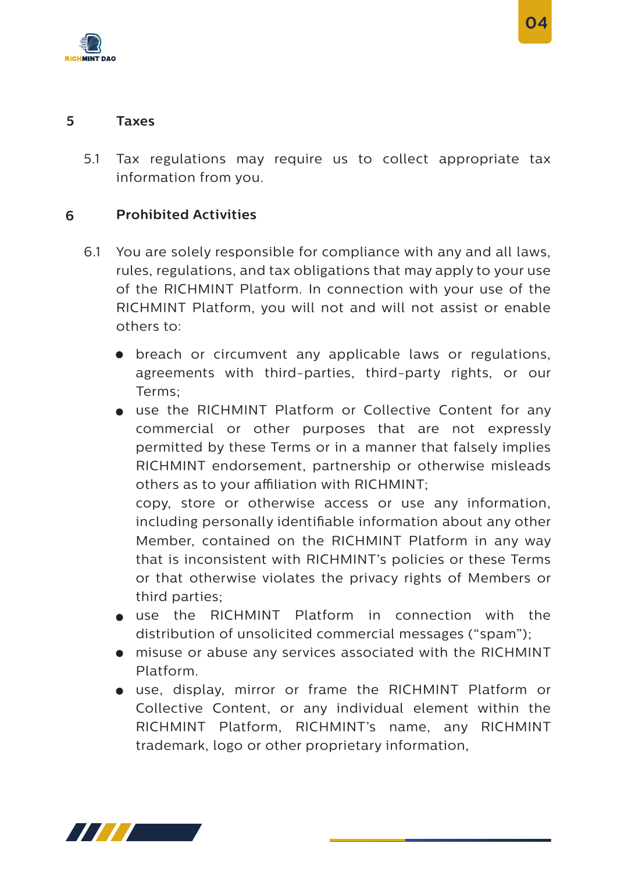

5.1 Tax regulations may require us to collect appropriate tax information from you.

#### **6 Prohibited Activities**

- 6.1 You are solely responsible for compliance with any and all laws, rules, regulations, and tax obligations that may apply to your use of the RICHMINT Platform. In connection with your use of the RICHMINT Platform, you will not and will not assist or enable others to:
	- breach or circumvent any applicable laws or regulations, agreements with third-parties, third-party rights, or our Terms;
	- use the RICHMINT Platform or Collective Content for any commercial or other purposes that are not expressly permitted by these Terms or in a manner that falsely implies RICHMINT endorsement, partnership or otherwise misleads others as to your affiliation with RICHMINT;

copy, store or otherwise access or use any information, including personally identifiable information about any other Member, contained on the RICHMINT Platform in any way that is inconsistent with RICHMINT's policies or these Terms or that otherwise violates the privacy rights of Members or third parties;

- use the RICHMINT Platform in connection with the distribution of unsolicited commercial messages ("spam");
- misuse or abuse any services associated with the RICHMINT Platform.
- use, display, mirror or frame the RICHMINT Platform or Collective Content, or any individual element within the RICHMINT Platform, RICHMINT's name, any RICHMINT trademark, logo or other proprietary information,

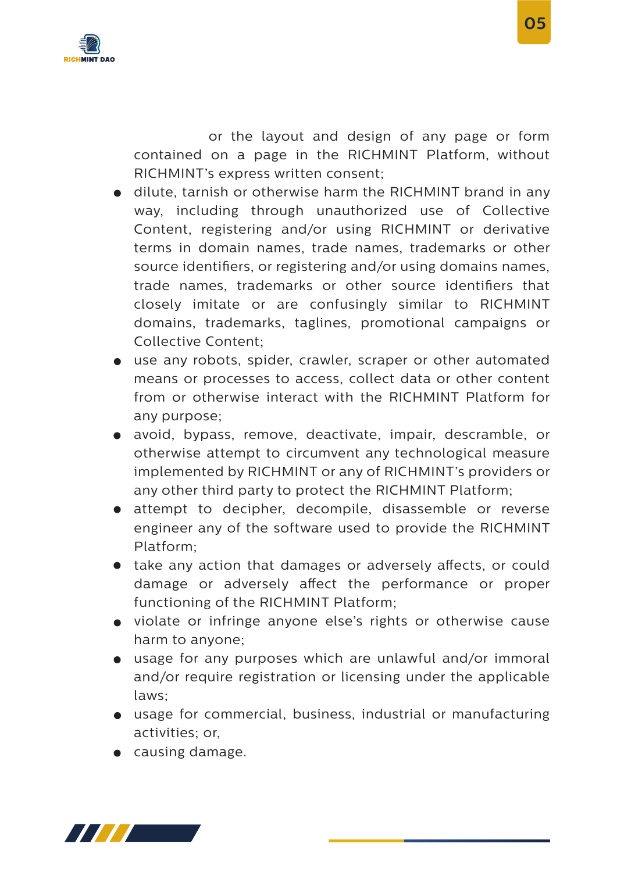

 or the layout and design of any page or form contained on a page in the RICHMINT Platform, without RICHMINT's express written consent;

- dilute, tarnish or otherwise harm the RICHMINT brand in any way, including through unauthorized use of Collective Content, registering and/or using RICHMINT or derivative terms in domain names, trade names, trademarks or other source identifiers, or registering and/or using domains names, trade names, trademarks or other source identifiers that closely imitate or are confusingly similar to RICHMINT domains, trademarks, taglines, promotional campaigns or Collective Content;
- use any robots, spider, crawler, scraper or other automated means or processes to access, collect data or other content from or otherwise interact with the RICHMINT Platform for any purpose;
- avoid, bypass, remove, deactivate, impair, descramble, or otherwise attempt to circumvent any technological measure implemented by RICHMINT or any of RICHMINT's providers or any other third party to protect the RICHMINT Platform;
- attempt to decipher, decompile, disassemble or reverse engineer any of the software used to provide the RICHMINT Platform;
- $\bullet$  take any action that damages or adversely affects, or could damage or adversely affect the performance or proper functioning of the RICHMINT Platform;
- violate or infringe anyone else's rights or otherwise cause harm to anyone;
- usage for any purposes which are unlawful and/or immoral and/or require registration or licensing under the applicable laws;
- usage for commercial, business, industrial or manufacturing activities; or,
- causing damage.

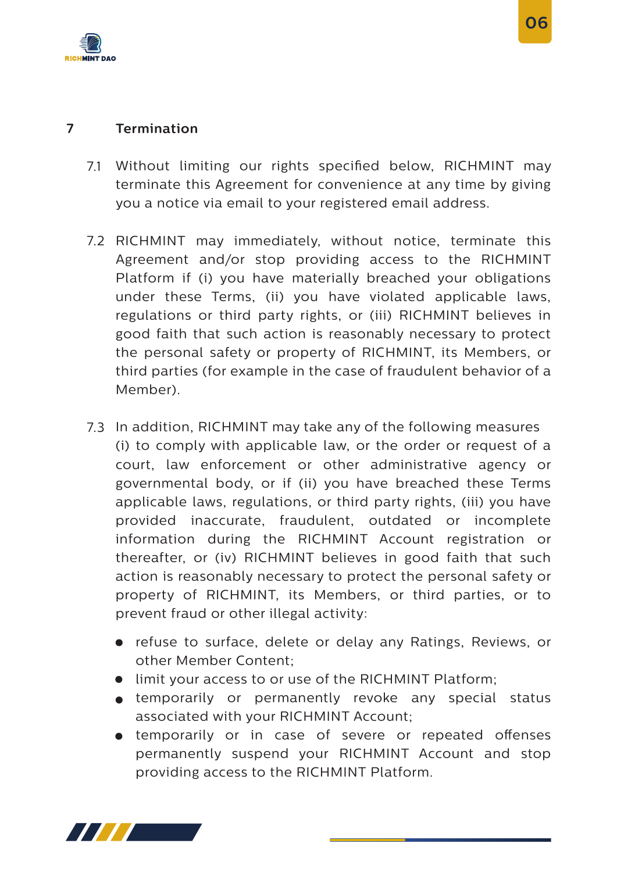

#### **Termination 7**

- 7.1 Without limiting our rights specified below, RICHMINT may terminate this Agreement for convenience at any time by giving you a notice via email to your registered email address.
- 7.2 RICHMINT may immediately, without notice, terminate this Agreement and/or stop providing access to the RICHMINT Platform if (i) you have materially breached your obligations under these Terms, (ii) you have violated applicable laws, regulations or third party rights, or (iii) RICHMINT believes in good faith that such action is reasonably necessary to protect the personal safety or property of RICHMINT, its Members, or third parties (for example in the case of fraudulent behavior of a Member).
- 7.3 In addition, RICHMINT may take any of the following measures (i) to comply with applicable law, or the order or request of a court, law enforcement or other administrative agency or governmental body, or if (ii) you have breached these Terms applicable laws, regulations, or third party rights, (iii) you have provided inaccurate, fraudulent, outdated or incomplete information during the RICHMINT Account registration or thereafter, or (iv) RICHMINT believes in good faith that such action is reasonably necessary to protect the personal safety or property of RICHMINT, its Members, or third parties, or to prevent fraud or other illegal activity:
	- refuse to surface, delete or delay any Ratings, Reviews, or other Member Content;
	- $\bullet$  limit your access to or use of the RICHMINT Platform;
	- temporarily or permanently revoke any special status associated with your RICHMINT Account;
	- **•** temporarily or in case of severe or repeated offenses permanently suspend your RICHMINT Account and stop providing access to the RICHMINT Platform.

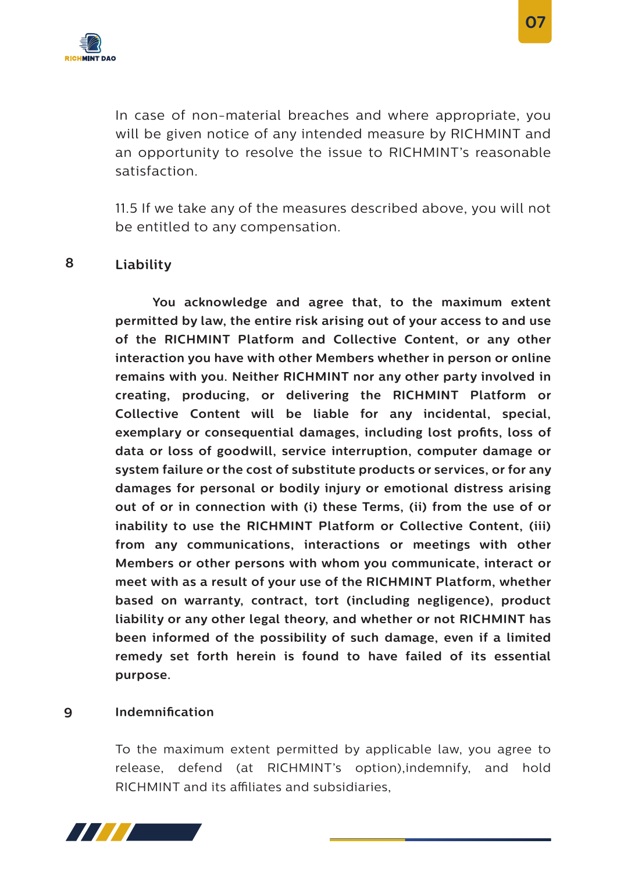

In case of non-material breaches and where appropriate, you will be given notice of any intended measure by RICHMINT and an opportunity to resolve the issue to RICHMINT's reasonable satisfaction.

11.5 If we take any of the measures described above, you will not be entitled to any compensation.

#### **8 Liability**

**You acknowledge and agree that, to the maximum extent permitted by law, the entire risk arising out of your access to and use of the RICHMINT Platform and Collective Content, or any other interaction you have with other Members whether in person or online remains with you. Neither RICHMINT nor any other party involved in creating, producing, or delivering the RICHMINT Platform or Collective Content will be liable for any incidental, special,**  exemplary or consequential damages, including lost profits, loss of **data or loss of goodwill, service interruption, computer damage or system failure or the cost of substitute products or services, or for any damages for personal or bodily injury or emotional distress arising out of or in connection with (i) these Terms, (ii) from the use of or inability to use the RICHMINT Platform or Collective Content, (iii) from any communications, interactions or meetings with other Members or other persons with whom you communicate, interact or meet with as a result of your use of the RICHMINT Platform, whether based on warranty, contract, tort (including negligence), product liability or any other legal theory, and whether or not RICHMINT has been informed of the possibility of such damage, even if a limited remedy set forth herein is found to have failed of its essential purpose.** 

#### **9 Indemnication**

To the maximum extent permitted by applicable law, you agree to release, defend (at RICHMINT's option),indemnify, and hold RICHMINT and its affiliates and subsidiaries.

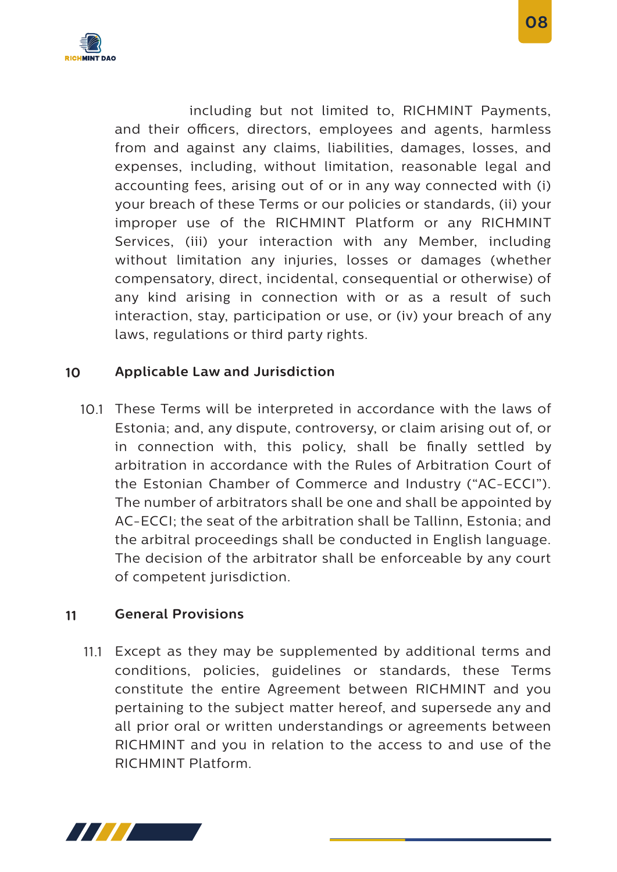

 including but not limited to, RICHMINT Payments, and their officers, directors, employees and agents, harmless from and against any claims, liabilities, damages, losses, and expenses, including, without limitation, reasonable legal and accounting fees, arising out of or in any way connected with (i) your breach of these Terms or our policies or standards, (ii) your improper use of the RICHMINT Platform or any RICHMINT Services, (iii) your interaction with any Member, including without limitation any injuries, losses or damages (whether compensatory, direct, incidental, consequential or otherwise) of any kind arising in connection with or as a result of such interaction, stay, participation or use, or (iv) your breach of any laws, regulations or third party rights.

#### **10 Applicable Law and Jurisdiction**

10.1 These Terms will be interpreted in accordance with the laws of Estonia; and, any dispute, controversy, or claim arising out of, or in connection with, this policy, shall be finally settled by arbitration in accordance with the Rules of Arbitration Court of the Estonian Chamber of Commerce and Industry ("AC-ECCI"). The number of arbitrators shall be one and shall be appointed by AC-ECCI; the seat of the arbitration shall be Tallinn, Estonia; and the arbitral proceedings shall be conducted in English language. The decision of the arbitrator shall be enforceable by any court of competent jurisdiction.

#### **11 General Provisions**

11.1 Except as they may be supplemented by additional terms and conditions, policies, guidelines or standards, these Terms constitute the entire Agreement between RICHMINT and you pertaining to the subject matter hereof, and supersede any and all prior oral or written understandings or agreements between RICHMINT and you in relation to the access to and use of the RICHMINT Platform.